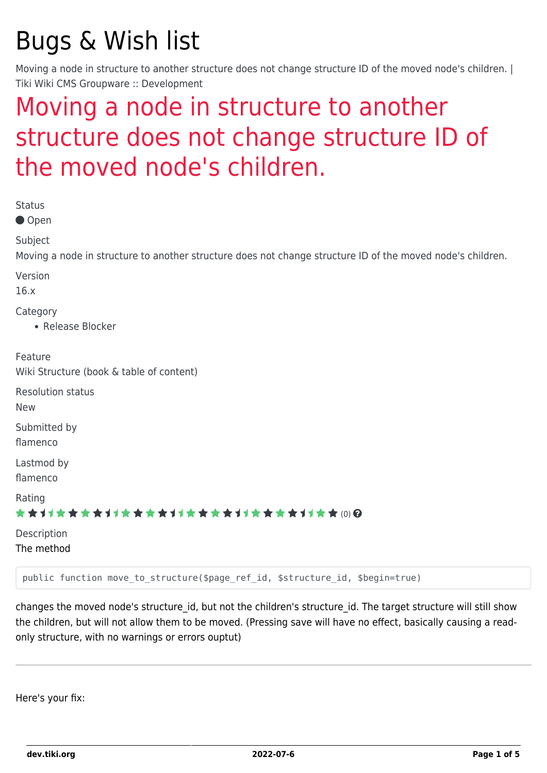# Bugs & Wish list

Moving a node in structure to another structure does not change structure ID of the moved node's children. | Tiki Wiki CMS Groupware :: Development

## [Moving a node in structure to another](https://dev.tiki.org/item6047-Moving-a-node-in-structure-to-another-structure-does-not-change-structure-ID-of-the-moved-node-s-children) [structure does not change structure ID of](https://dev.tiki.org/item6047-Moving-a-node-in-structure-to-another-structure-does-not-change-structure-ID-of-the-moved-node-s-children) [the moved node's children.](https://dev.tiki.org/item6047-Moving-a-node-in-structure-to-another-structure-does-not-change-structure-ID-of-the-moved-node-s-children)

| <b>Status</b><br>● Open                                                                                               |
|-----------------------------------------------------------------------------------------------------------------------|
| Subject<br>Moving a node in structure to another structure does not change structure ID of the moved node's children. |
| Version<br>16.x                                                                                                       |
| Category<br>• Release Blocker                                                                                         |
| Feature<br>Wiki Structure (book & table of content)                                                                   |
| <b>Resolution status</b><br><b>New</b>                                                                                |
| Submitted by<br>flamenco                                                                                              |
| Lastmod by<br>flamenco                                                                                                |
| Rating<br>★★オオ★★★★オオ★★★★オオ★★★★オオ★★★★オオ★★⑷@                                                                            |
| Description<br>The method                                                                                             |
| public function move to structure(\$page ref id, \$structure id, \$begin=true)                                        |

changes the moved node's structure id, but not the children's structure id. The target structure will still show the children, but will not allow them to be moved. (Pressing save will have no effect, basically causing a readonly structure, with no warnings or errors ouptut)

Here's your fix: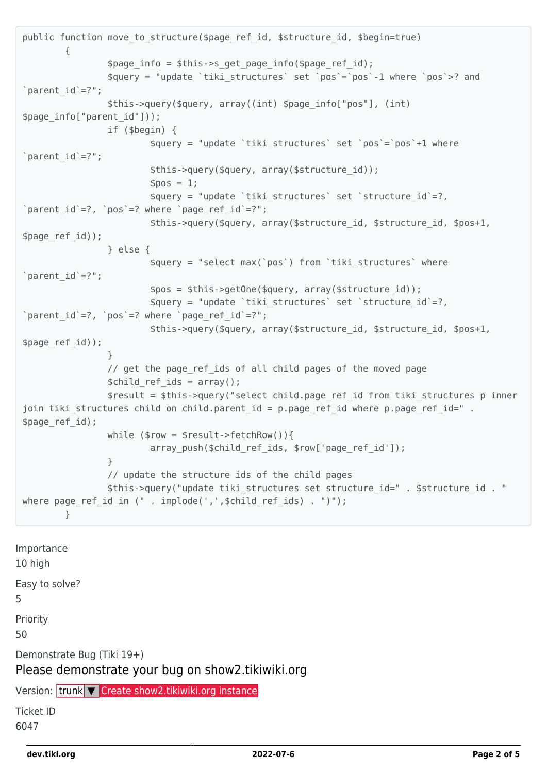```
public function move to structure($page ref id, $structure id, $begin=true)
\overline{\mathcal{L}}$page info = $this->s get page info($page ref id);
                 $query = "update `tiki_structures` set `pos`=`pos`-1 where `pos`>? and
'parent_id'=?";
                 $this->query($query, array((int) $page_info["pos"], (int)
$page_info["parent_id"]));
                 if ($begin) {
                          $query = "update `tiki_structures` set `pos`=`pos`+1 where
'parent_id'=?"; $this->query($query, array($structure_id));
                        $pos = 1; $query = "update `tiki_structures` set `structure_id`=?,
`parent id'=?, `pos`=? where `page ref id'=?";
                         $this->query($query, array($structure_id, $structure_id, $pos+1,
$page_ref_id));
                 } else {
                          $query = "select max(`pos`) from `tiki_structures` where
'parent_id'=?"; $pos = $this->getOne($query, array($structure_id));
                         $query = "update `tiki_structures` set `structure_id`=?,
`parent_id`=?, `pos`=? where `page_ref_id`=?";
                         $this->query($query, array($structure_id, $structure_id, $pos+1,
$page_ref_id));
 }
                \frac{1}{2} get the page ref ids of all child pages of the moved page
                $child ref ids = array();
                 $result = $this->query("select child.page_ref_id from tiki_structures p inner
join tiki structures child on child.parent id = p.page ref id where p.page ref id=".
$page_ref_id);
                while (\text{row} = \text{result}\text{-} \text{if}(\text{chRow})))array push($child ref ids, $row['page ref id']);
 }
                 // update the structure ids of the child pages
                 $this->query("update tiki_structures set structure_id=" . $structure_id . "
where page ref id in (" . implode(',',$child ref ids) . ")");
         }
```
Importance 10 high Easy to solve? 5 Priority 50 Demonstrate Bug (Tiki 19+) Please demonstrate your bug on show2.tikiwiki.org Version: trunk ▼ [Create show2.tikiwiki.org instance](#page--1-0) Ticket ID 6047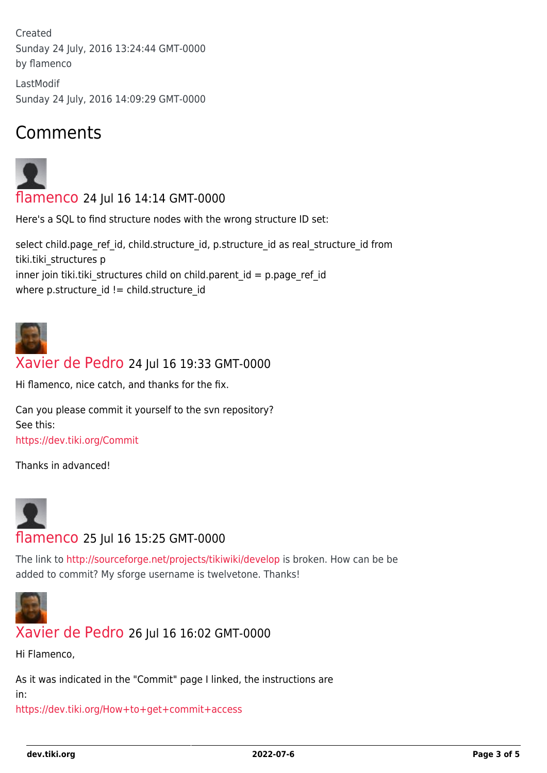Created Sunday 24 July, 2016 13:24:44 GMT-0000 by flamenco

LastModif Sunday 24 July, 2016 14:09:29 GMT-0000

## Comments



[flamenco](https://dev.tiki.org/user11822) 24 Jul 16 14:14 GMT-0000

Here's a SQL to find structure nodes with the wrong structure ID set:

select child.page\_ref\_id, child.structure\_id, p.structure\_id as real\_structure\_id from tiki.tiki\_structures p inner join tiki.tiki\_structures child on child.parent\_id = p.page\_ref\_id where p.structure  $id$  != child.structure  $id$ 



#### [Xavier de Pedro](https://dev.tiki.org/user9794) 24 Jul 16 19:33 GMT-0000

Hi flamenco, nice catch, and thanks for the fix.

Can you please commit it yourself to the svn repository? See this: <https://dev.tiki.org/Commit>

Thanks in advanced!



#### [flamenco](https://dev.tiki.org/user11822) 25 Jul 16 15:25 GMT-0000

The link to<http://sourceforge.net/projects/tikiwiki/develop>is broken. How can be be added to commit? My sforge username is twelvetone. Thanks!



#### [Xavier de Pedro](https://dev.tiki.org/user9794) 26 Jul 16 16:02 GMT-0000

Hi Flamenco,

As it was indicated in the "Commit" page I linked, the instructions are

in:

<https://dev.tiki.org/How+to+get+commit+access>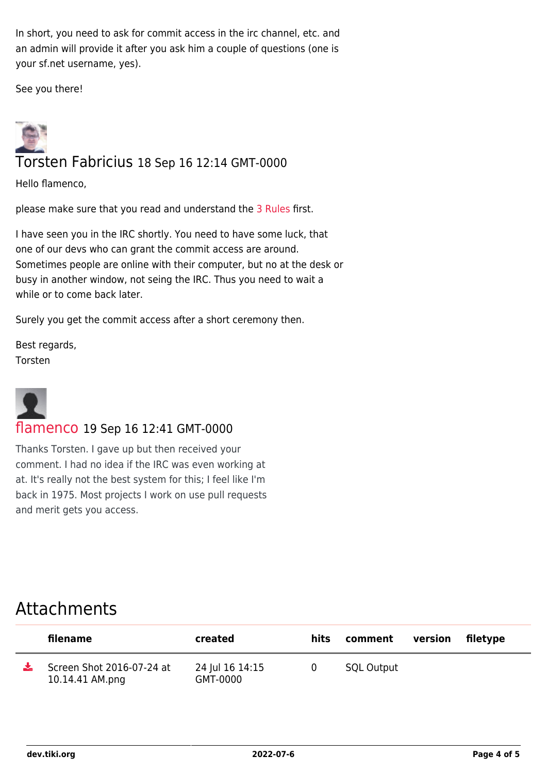In short, you need to ask for commit access in the irc channel, etc. and an admin will provide it after you ask him a couple of questions (one is your sf.net username, yes).

See you there!



Hello flamenco,

please make sure that you read and understand the [3 Rules](https://dev.tiki.org/3-Rules) first.

I have seen you in the IRC shortly. You need to have some luck, that one of our devs who can grant the commit access are around. Sometimes people are online with their computer, but no at the desk or busy in another window, not seing the IRC. Thus you need to wait a while or to come back later.

Surely you get the commit access after a short ceremony then.

Best regards, Torsten



#### [flamenco](https://dev.tiki.org/user11822) 19 Sep 16 12:41 GMT-0000

Thanks Torsten. I gave up but then received your comment. I had no idea if the IRC was even working at at. It's really not the best system for this; I feel like I'm back in 1975. Most projects I work on use pull requests and merit gets you access.

### Attachments

| filename                                     | created                     | hits | comment           | version filetype |  |
|----------------------------------------------|-----------------------------|------|-------------------|------------------|--|
| Screen Shot 2016-07-24 at<br>10.14.41 AM.png | 24 Jul 16 14:15<br>GMT-0000 |      | <b>SQL Output</b> |                  |  |